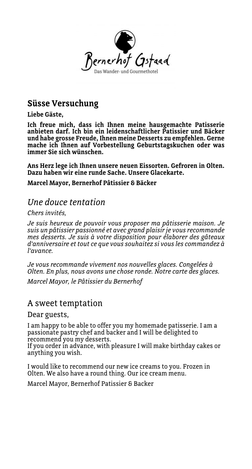

## **Süsse Versuchung**

**Liebe Gäste,**

**Ich freue mich, dass ich Ihnen meine hausgemachte Patisserie anbieten darf. Ich bin ein leidenschaftlicher Patissier und Bäcker und habe grosse Freude, Ihnen meine Desserts zu empfehlen. Gerne mache ich Ihnen auf Vorbestellung Geburtstagskuchen oder was immer Sie sich wünschen.**

**Ans Herz lege ich Ihnen unsere neuen Eissorten. Gefroren in Olten. Dazu haben wir eine runde Sache. Unsere Glacekarte.**

**Marcel Mayor, Bernerhof Pâtissier & Bäcker**

## *Une douce tentation*

*Chers invités,*

*Je suis heureux de pouvoir vous proposer ma pâtisserie maison. Je suis un pâtissier passionné et avec grand plaisir je vous recommande mes desserts. Je suis à votre disposition pour élaborer des gâteaux d'anniversaire et tout ce que vous souhaitez si vous les commandez à l'avance.*

*Je vous recommande vivement nos nouvelles glaces. Congelées à Olten. En plus, nous avons une chose ronde. Notre carte des glaces.*

*Marcel Mayor, le Pâtissier du Bernerhof* 

## A sweet temptation

Dear guests,

I am happy to be able to offer you my homemade patisserie. I am a passionate pastry chef and backer and I will be delighted to recommend you my desserts.

If you order in advance, with pleasure I will make birthday cakes or anything you wish.

I would like to recommend our new ice creams to you. Frozen in Olten. We also have a round thing. Our ice cream menu.

Marcel Mayor, Bernerhof Patissier & Backer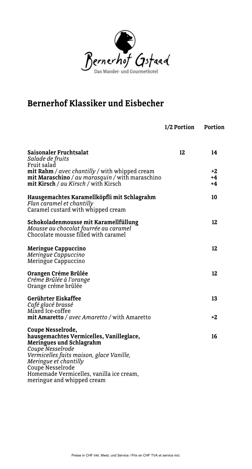

## **Bernerhof Klassiker und Eisbecher**

|                                                                                                                                                                  | 1/2 Portion | Portion        |
|------------------------------------------------------------------------------------------------------------------------------------------------------------------|-------------|----------------|
| Saisonaler Fruchtsalat<br>Salade de fruits<br>Fruit salad                                                                                                        | 12          | 14             |
| <b>mit Rahm</b> / $avec$ <i>chantilly</i> / with whipped cream<br>mit Maraschino / au marasquin / with maraschino<br><b>mit Kirsch</b> / au Kirsch / with Kirsch |             | +2<br>+4<br>+4 |
| Hausgemachtes Karamellköpfli mit Schlagrahm<br>Flan caramel et chantilly<br>Caramel custard with whipped cream                                                   |             | 10             |
| Schokoladenmousse mit Karamellfüllung<br>Mousse au chocolat fourrée au caramel<br>Chocolate mousse filled with caramel                                           |             | 12             |
| <b>Meringue Cappuccino</b><br>Meringue Cappuccino<br>Meringue Cappuccino                                                                                         |             | 12             |
| Orangen Créme Brûlée<br>Créme Brûlée à l'orange<br>Orange créme brûlée                                                                                           |             | 12             |
| Gerührter Eiskaffee<br>Café glacé brassé<br>Mixed Ice-coffee                                                                                                     |             | 13             |
| mit Amaretto / avec Amaretto / with Amaretto                                                                                                                     |             | +2             |
| Coupe Nesselrode,<br>hausgemachtes Vermicelles, Vanilleglace,<br><b>Meringues und Schlagrahm</b><br>Coupe Nesselrode                                             |             | 16             |
| Vermicelles faits maison, glace Vanille,<br>Meringue et chantilly<br>Coupe Nesselrode<br>Homemade Vermicelles, vanilla ice cream,                                |             |                |
| meringue and whipped cream                                                                                                                                       |             |                |